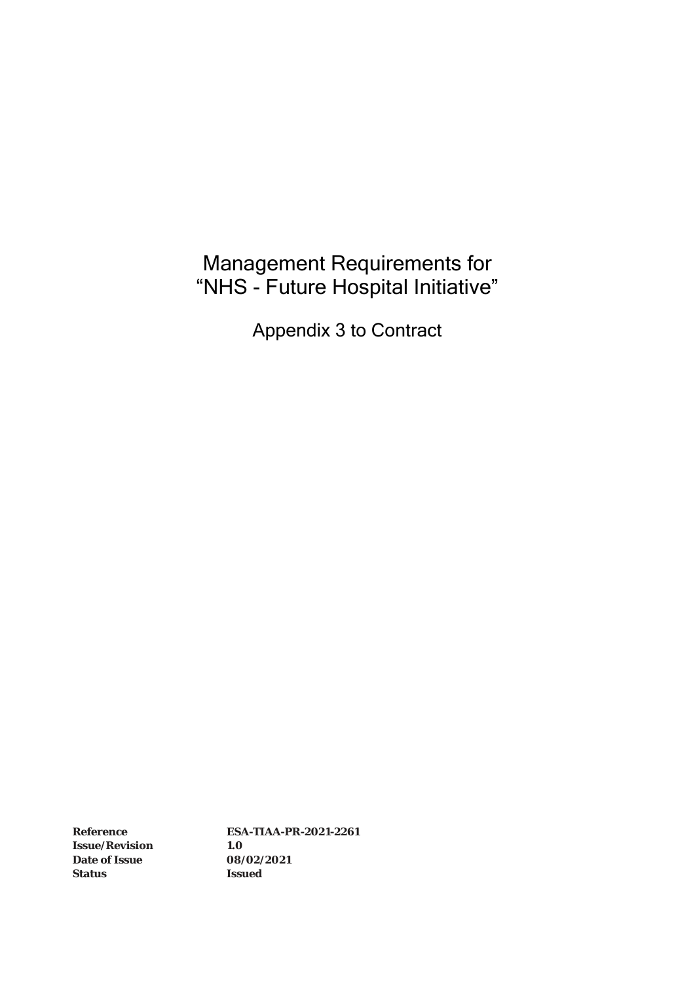# Management Requirements for "NHS - Future Hospital Initiative"

Appendix 3 to Contract

**Issue/Revision 1.0 Date of Issue 08/02/2021 Status Issued**

**Reference ESA-TIAA-PR-2021-2261**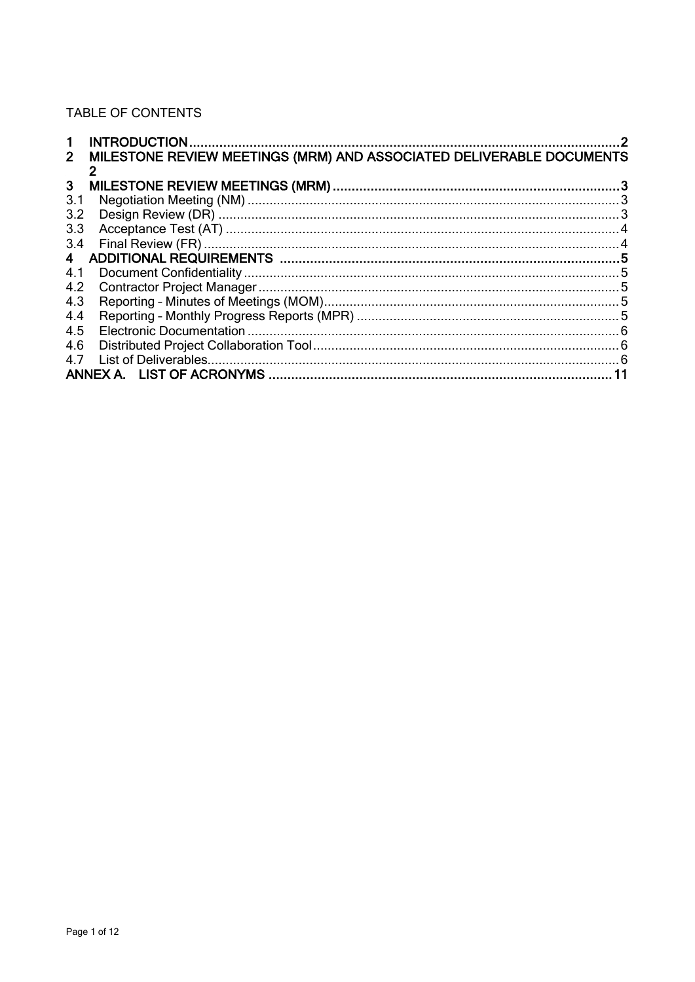## TABLE OF CONTENTS

| $\mathbf 1$    |                                                                      | 2 |  |
|----------------|----------------------------------------------------------------------|---|--|
| 2 <sup>1</sup> | MILESTONE REVIEW MEETINGS (MRM) AND ASSOCIATED DELIVERABLE DOCUMENTS |   |  |
|                |                                                                      |   |  |
| $\mathbf{3}$   |                                                                      |   |  |
| 3.1            |                                                                      |   |  |
| 3.2            |                                                                      |   |  |
| 3.3            |                                                                      |   |  |
| 3.4            |                                                                      |   |  |
| $\overline{4}$ |                                                                      |   |  |
| 4.1            |                                                                      |   |  |
| 4.2            |                                                                      |   |  |
| 4.3            |                                                                      |   |  |
| 4.4            |                                                                      |   |  |
| 4.5            |                                                                      |   |  |
| 4.6            |                                                                      |   |  |
| 4.7            |                                                                      |   |  |
|                |                                                                      |   |  |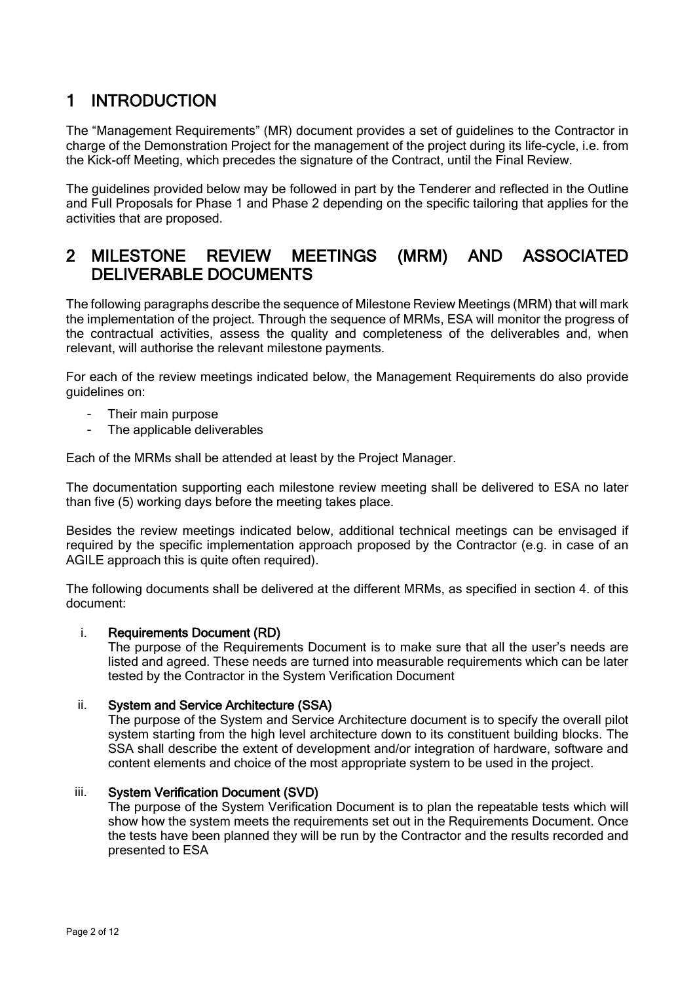## <span id="page-2-0"></span>1 INTRODUCTION

The "Management Requirements" (MR) document provides a set of guidelines to the Contractor in charge of the Demonstration Project for the management of the project during its life-cycle, i.e. from the Kick-off Meeting, which precedes the signature of the Contract, until the Final Review.

The guidelines provided below may be followed in part by the Tenderer and reflected in the Outline and Full Proposals for Phase 1 and Phase 2 depending on the specific tailoring that applies for the activities that are proposed.

### <span id="page-2-1"></span>2 MILESTONE REVIEW MEETINGS (MRM) AND ASSOCIATED DELIVERABLE DOCUMENTS

The following paragraphs describe the sequence of Milestone Review Meetings (MRM) that will mark the implementation of the project. Through the sequence of MRMs, ESA will monitor the progress of the contractual activities, assess the quality and completeness of the deliverables and, when relevant, will authorise the relevant milestone payments.

For each of the review meetings indicated below, the Management Requirements do also provide guidelines on:

- Their main purpose
- The applicable deliverables

Each of the MRMs shall be attended at least by the Project Manager.

The documentation supporting each milestone review meeting shall be delivered to ESA no later than five (5) working days before the meeting takes place.

Besides the review meetings indicated below, additional technical meetings can be envisaged if required by the specific implementation approach proposed by the Contractor (e.g. in case of an AGILE approach this is quite often required).

The following documents shall be delivered at the different MRMs, as specified in section 4. of this document:

### i. Requirements Document (RD)

The purpose of the Requirements Document is to make sure that all the user's needs are listed and agreed. These needs are turned into measurable requirements which can be later tested by the Contractor in the System Verification Document

#### ii. System and Service Architecture (SSA)

The purpose of the System and Service Architecture document is to specify the overall pilot system starting from the high level architecture down to its constituent building blocks. The SSA shall describe the extent of development and/or integration of hardware, software and content elements and choice of the most appropriate system to be used in the project.

#### iii. System Verification Document (SVD)

The purpose of the System Verification Document is to plan the repeatable tests which will show how the system meets the requirements set out in the Requirements Document. Once the tests have been planned they will be run by the Contractor and the results recorded and presented to ESA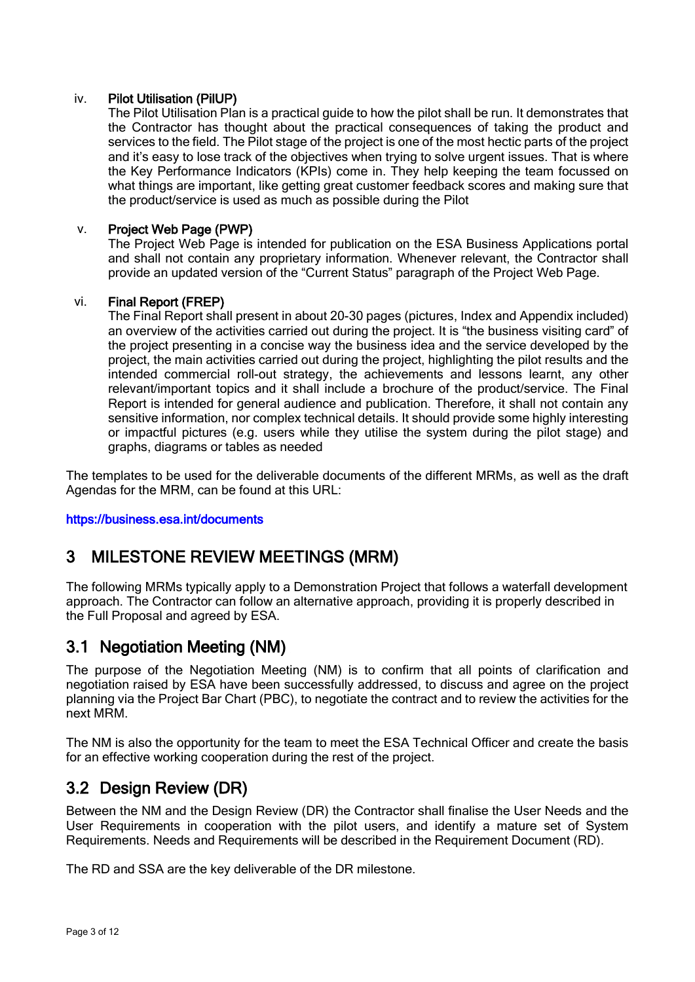### iv. Pilot Utilisation (PilUP)

The Pilot Utilisation Plan is a practical guide to how the pilot shall be run. It demonstrates that the Contractor has thought about the practical consequences of taking the product and services to the field. The Pilot stage of the project is one of the most hectic parts of the project and it's easy to lose track of the objectives when trying to solve urgent issues. That is where the Key Performance Indicators (KPIs) come in. They help keeping the team focussed on what things are important, like getting great customer feedback scores and making sure that the product/service is used as much as possible during the Pilot

### v. Project Web Page (PWP)

The Project Web Page is intended for publication on the ESA Business Applications portal and shall not contain any proprietary information. Whenever relevant, the Contractor shall provide an updated version of the "Current Status" paragraph of the Project Web Page.

### vi. Final Report (FREP)

The Final Report shall present in about 20-30 pages (pictures, Index and Appendix included) an overview of the activities carried out during the project. It is "the business visiting card" of the project presenting in a concise way the business idea and the service developed by the project, the main activities carried out during the project, highlighting the pilot results and the intended commercial roll-out strategy, the achievements and lessons learnt, any other relevant/important topics and it shall include a brochure of the product/service. The Final Report is intended for general audience and publication. Therefore, it shall not contain any sensitive information, nor complex technical details. It should provide some highly interesting or impactful pictures (e.g. users while they utilise the system during the pilot stage) and graphs, diagrams or tables as needed

The templates to be used for the deliverable documents of the different MRMs, as well as the draft Agendas for the MRM, can be found at this URL:

### <span id="page-3-0"></span><https://business.esa.int/documents>

## 3 MILESTONE REVIEW MEETINGS (MRM)

The following MRMs typically apply to a Demonstration Project that follows a waterfall development approach. The Contractor can follow an alternative approach, providing it is properly described in the Full Proposal and agreed by ESA.

### <span id="page-3-1"></span>3.1 Negotiation Meeting (NM)

The purpose of the Negotiation Meeting (NM) is to confirm that all points of clarification and negotiation raised by ESA have been successfully addressed, to discuss and agree on the project planning via the Project Bar Chart (PBC), to negotiate the contract and to review the activities for the next MRM.

The NM is also the opportunity for the team to meet the ESA Technical Officer and create the basis for an effective working cooperation during the rest of the project.

### <span id="page-3-2"></span>3.2 Design Review (DR)

Between the NM and the Design Review (DR) the Contractor shall finalise the User Needs and the User Requirements in cooperation with the pilot users, and identify a mature set of System Requirements. Needs and Requirements will be described in the Requirement Document (RD).

The RD and SSA are the key deliverable of the DR milestone.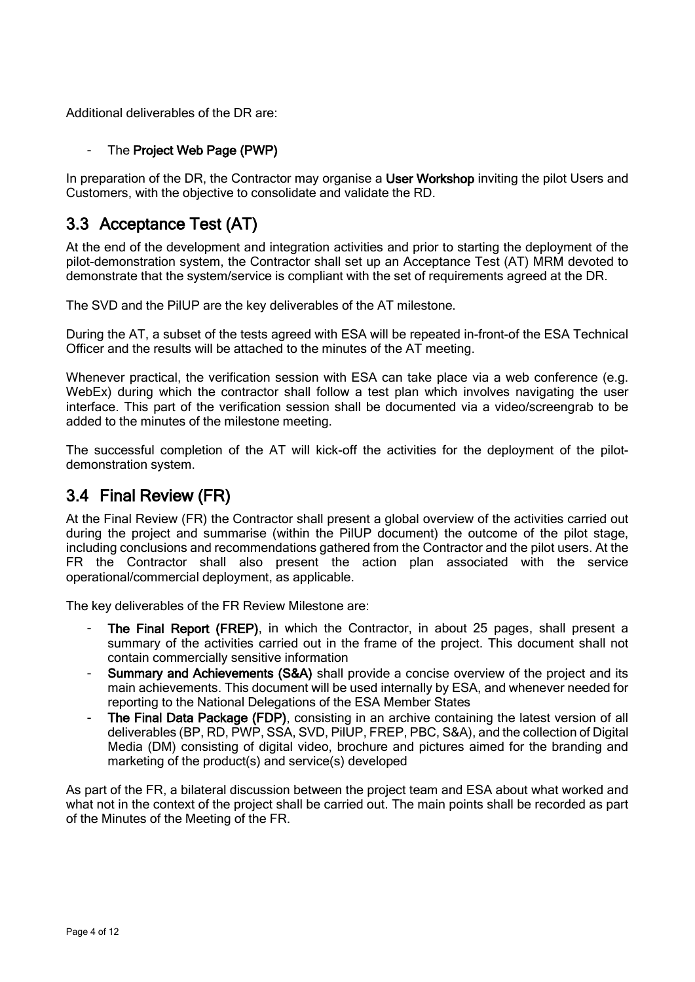Additional deliverables of the DR are:

### - The Project Web Page (PWP)

In preparation of the DR, the Contractor may organise a User Workshop inviting the pilot Users and Customers, with the objective to consolidate and validate the RD.

## <span id="page-4-0"></span>3.3 Acceptance Test (AT)

At the end of the development and integration activities and prior to starting the deployment of the pilot-demonstration system, the Contractor shall set up an Acceptance Test (AT) MRM devoted to demonstrate that the system/service is compliant with the set of requirements agreed at the DR.

The SVD and the PilUP are the key deliverables of the AT milestone.

During the AT, a subset of the tests agreed with ESA will be repeated in-front-of the ESA Technical Officer and the results will be attached to the minutes of the AT meeting.

Whenever practical, the verification session with ESA can take place via a web conference (e.g. WebEx) during which the contractor shall follow a test plan which involves navigating the user interface. This part of the verification session shall be documented via a video/screengrab to be added to the minutes of the milestone meeting.

The successful completion of the AT will kick-off the activities for the deployment of the pilotdemonstration system.

## <span id="page-4-1"></span>3.4 Final Review (FR)

At the Final Review (FR) the Contractor shall present a global overview of the activities carried out during the project and summarise (within the PilUP document) the outcome of the pilot stage, including conclusions and recommendations gathered from the Contractor and the pilot users. At the FR the Contractor shall also present the action plan associated with the service operational/commercial deployment, as applicable.

The key deliverables of the FR Review Milestone are:

- The Final Report (FREP), in which the Contractor, in about 25 pages, shall present a summary of the activities carried out in the frame of the project. This document shall not contain commercially sensitive information
- Summary and Achievements (S&A) shall provide a concise overview of the project and its main achievements. This document will be used internally by ESA, and whenever needed for reporting to the National Delegations of the ESA Member States
- The Final Data Package (FDP), consisting in an archive containing the latest version of all deliverables (BP, RD, PWP, SSA, SVD, PilUP, FREP, PBC, S&A), and the collection of Digital Media (DM) consisting of digital video, brochure and pictures aimed for the branding and marketing of the product(s) and service(s) developed

As part of the FR, a bilateral discussion between the project team and ESA about what worked and what not in the context of the project shall be carried out. The main points shall be recorded as part of the Minutes of the Meeting of the FR.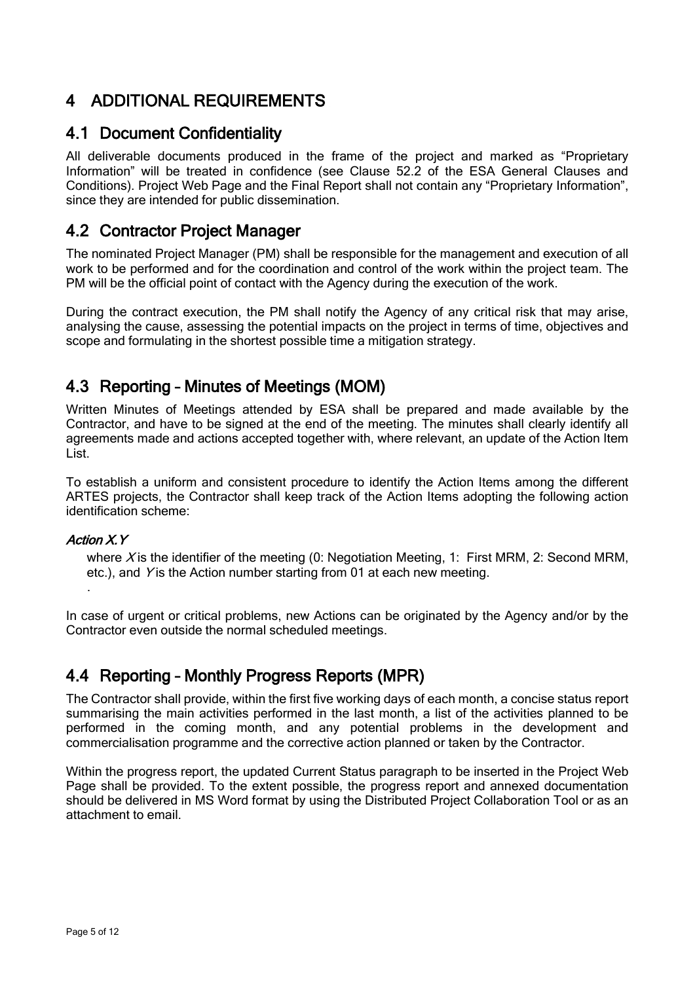## <span id="page-5-0"></span>4 ADDITIONAL REQUIREMENTS

### <span id="page-5-1"></span>4.1 Document Confidentiality

All deliverable documents produced in the frame of the project and marked as "Proprietary Information" will be treated in confidence (see Clause 52.2 of the ESA General Clauses and Conditions). Project Web Page and the Final Report shall not contain any "Proprietary Information", since they are intended for public dissemination.

### <span id="page-5-2"></span>4.2 Contractor Project Manager

The nominated Project Manager (PM) shall be responsible for the management and execution of all work to be performed and for the coordination and control of the work within the project team. The PM will be the official point of contact with the Agency during the execution of the work.

During the contract execution, the PM shall notify the Agency of any critical risk that may arise, analysing the cause, assessing the potential impacts on the project in terms of time, objectives and scope and formulating in the shortest possible time a mitigation strategy.

## <span id="page-5-3"></span>4.3 Reporting – Minutes of Meetings (MOM)

Written Minutes of Meetings attended by ESA shall be prepared and made available by the Contractor, and have to be signed at the end of the meeting. The minutes shall clearly identify all agreements made and actions accepted together with, where relevant, an update of the Action Item List.

To establish a uniform and consistent procedure to identify the Action Items among the different ARTES projects, the Contractor shall keep track of the Action Items adopting the following action identification scheme:

### Action X.Y

where X is the identifier of the meeting (0: Negotiation Meeting, 1: First MRM, 2: Second MRM, etc.), and Y is the Action number starting from 01 at each new meeting. .

In case of urgent or critical problems, new Actions can be originated by the Agency and/or by the Contractor even outside the normal scheduled meetings.

## <span id="page-5-4"></span>4.4 Reporting – Monthly Progress Reports (MPR)

The Contractor shall provide, within the first five working days of each month, a concise status report summarising the main activities performed in the last month, a list of the activities planned to be performed in the coming month, and any potential problems in the development and commercialisation programme and the corrective action planned or taken by the Contractor.

Within the progress report, the updated Current Status paragraph to be inserted in the Project Web Page shall be provided. To the extent possible, the progress report and annexed documentation should be delivered in MS Word format by using the Distributed Project Collaboration Tool or as an attachment to email.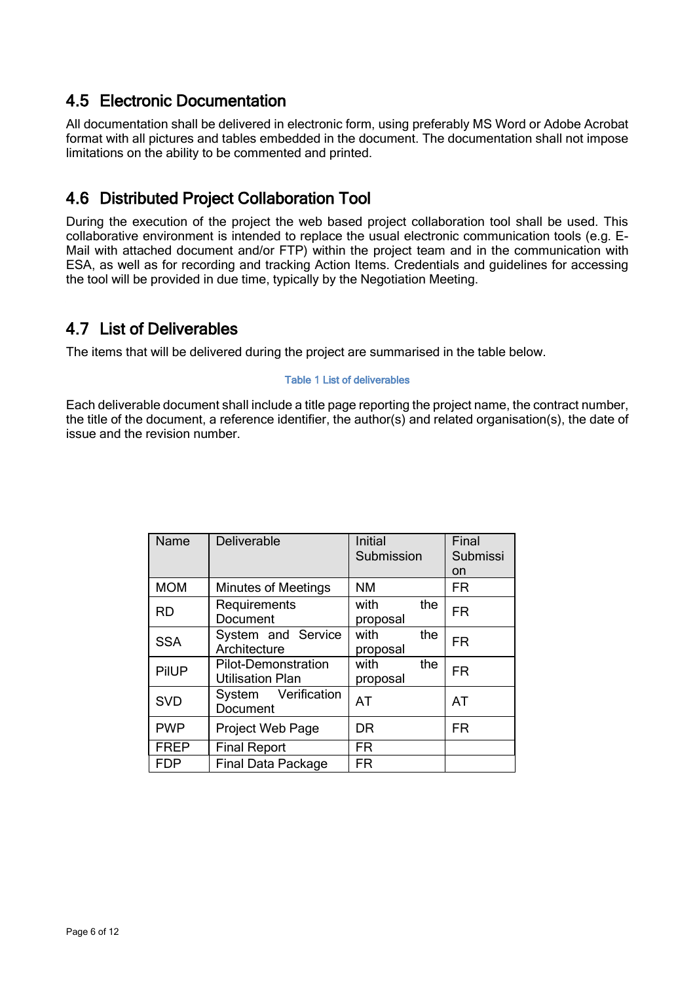## <span id="page-6-0"></span>4.5 Electronic Documentation

All documentation shall be delivered in electronic form, using preferably MS Word or Adobe Acrobat format with all pictures and tables embedded in the document. The documentation shall not impose limitations on the ability to be commented and printed.

## <span id="page-6-1"></span>4.6 Distributed Project Collaboration Tool

During the execution of the project the web based project collaboration tool shall be used. This collaborative environment is intended to replace the usual electronic communication tools (e.g. E-Mail with attached document and/or FTP) within the project team and in the communication with ESA, as well as for recording and tracking Action Items. Credentials and guidelines for accessing the tool will be provided in due time, typically by the Negotiation Meeting.

## <span id="page-6-2"></span>4.7 List of Deliverables

The items that will be delivered during the project are summarised in the table below.

### Table 1 List of deliverables

Each deliverable document shall include a title page reporting the project name, the contract number, the title of the document, a reference identifier, the author(s) and related organisation(s), the date of issue and the revision number.

| Name        | Deliverable                                           | Initial<br>Submission   | Final<br>Submissi<br>on |
|-------------|-------------------------------------------------------|-------------------------|-------------------------|
| <b>MOM</b>  | <b>Minutes of Meetings</b>                            | <b>NM</b>               | <b>FR</b>               |
| <b>RD</b>   | Requirements<br>Document                              | with<br>the<br>proposal | <b>FR</b>               |
| <b>SSA</b>  | System and Service<br>Architecture                    | with<br>the<br>proposal | <b>FR</b>               |
| PilUP       | <b>Pilot-Demonstration</b><br><b>Utilisation Plan</b> | with<br>the<br>proposal | <b>FR</b>               |
| <b>SVD</b>  | System Verification<br>Document                       | AT                      | <b>AT</b>               |
| <b>PWP</b>  | Project Web Page                                      | DR                      | <b>FR</b>               |
| <b>FREP</b> | <b>Final Report</b>                                   | FR                      |                         |
| <b>FDP</b>  | <b>Final Data Package</b>                             | <b>FR</b>               |                         |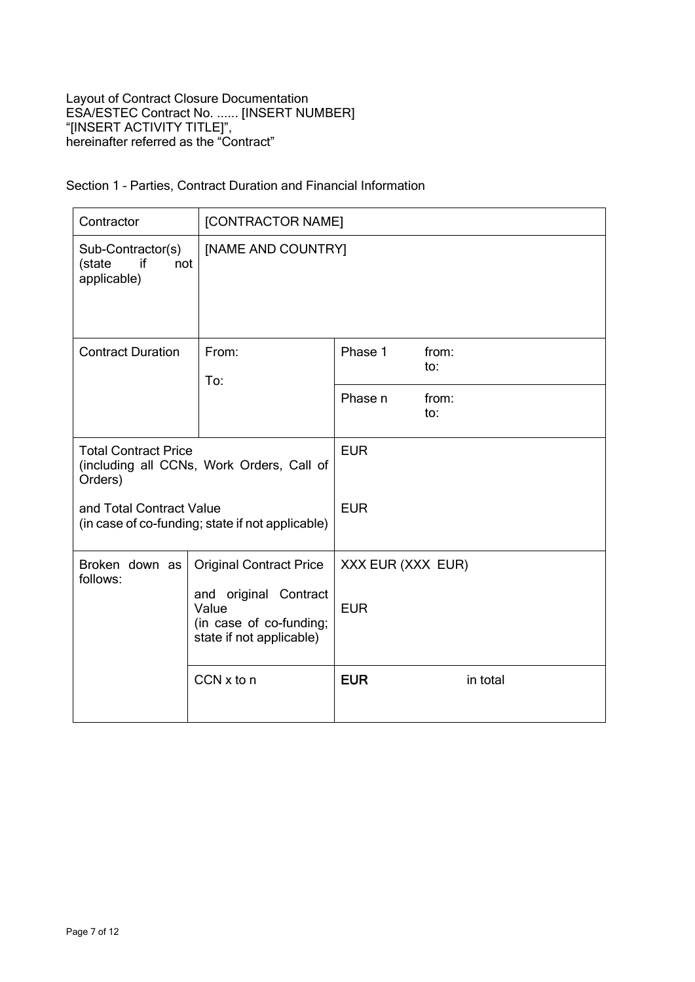### Section 1 – Parties, Contract Duration and Financial Information

| Contractor                                                                          | [CONTRACTOR NAME]                                                                     |                   |              |
|-------------------------------------------------------------------------------------|---------------------------------------------------------------------------------------|-------------------|--------------|
| Sub-Contractor(s)<br>if<br>(state<br>not<br>applicable)                             | [NAME AND COUNTRY]                                                                    |                   |              |
| <b>Contract Duration</b>                                                            | From:<br>To:                                                                          | Phase 1           | from:<br>to: |
|                                                                                     |                                                                                       | Phase n           | from:<br>to: |
| <b>Total Contract Price</b><br>(including all CCNs, Work Orders, Call of<br>Orders) |                                                                                       | <b>EUR</b>        |              |
| and Total Contract Value<br>(in case of co-funding; state if not applicable)        |                                                                                       | <b>EUR</b>        |              |
| Broken down as<br><b>Original Contract Price</b><br>follows:                        |                                                                                       | XXX EUR (XXX EUR) |              |
|                                                                                     | and original Contract<br>Value<br>(in case of co-funding;<br>state if not applicable) | <b>EUR</b>        |              |
|                                                                                     | $CCN \times$ to n                                                                     | <b>EUR</b>        | in total     |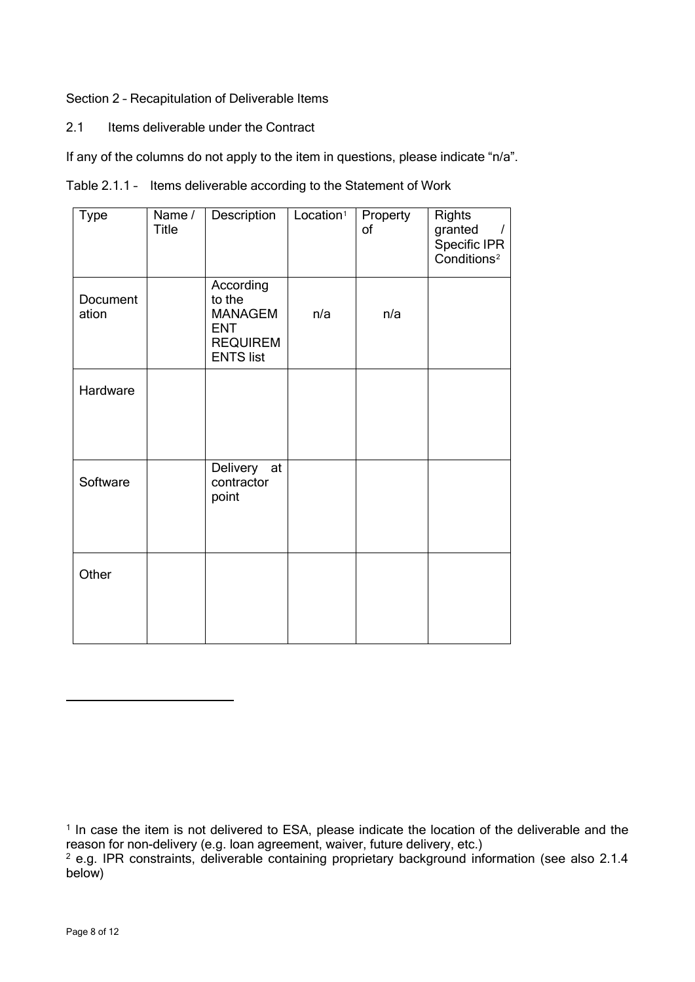### Section 2 – Recapitulation of Deliverable Items

2.1 Items deliverable under the Contract

If any of the columns do not apply to the item in questions, please indicate "n/a".

|  | Table 2.1.1 - Items deliverable according to the Statement of Work |
|--|--------------------------------------------------------------------|
|--|--------------------------------------------------------------------|

| <b>Type</b>       | Name /<br><b>Title</b> | Description                                                                                | Location <sup>1</sup> | Property<br>of | <b>Rights</b><br>granted<br>$\prime$<br>Specific IPR<br>Conditions <sup>2</sup> |
|-------------------|------------------------|--------------------------------------------------------------------------------------------|-----------------------|----------------|---------------------------------------------------------------------------------|
| Document<br>ation |                        | According<br>to the<br><b>MANAGEM</b><br><b>ENT</b><br><b>REQUIREM</b><br><b>ENTS list</b> | n/a                   | n/a            |                                                                                 |
| Hardware          |                        |                                                                                            |                       |                |                                                                                 |
| Software          |                        | Delivery at<br>contractor<br>point                                                         |                       |                |                                                                                 |
| Other             |                        |                                                                                            |                       |                |                                                                                 |

<span id="page-8-0"></span><sup>&</sup>lt;sup>1</sup> In case the item is not delivered to ESA, please indicate the location of the deliverable and the reason for non-delivery (e.g. loan agreement, waiver, future delivery, etc.)

<span id="page-8-1"></span><sup>&</sup>lt;sup>2</sup> e.g. IPR constraints, deliverable containing proprietary background information (see also 2.1.4 below)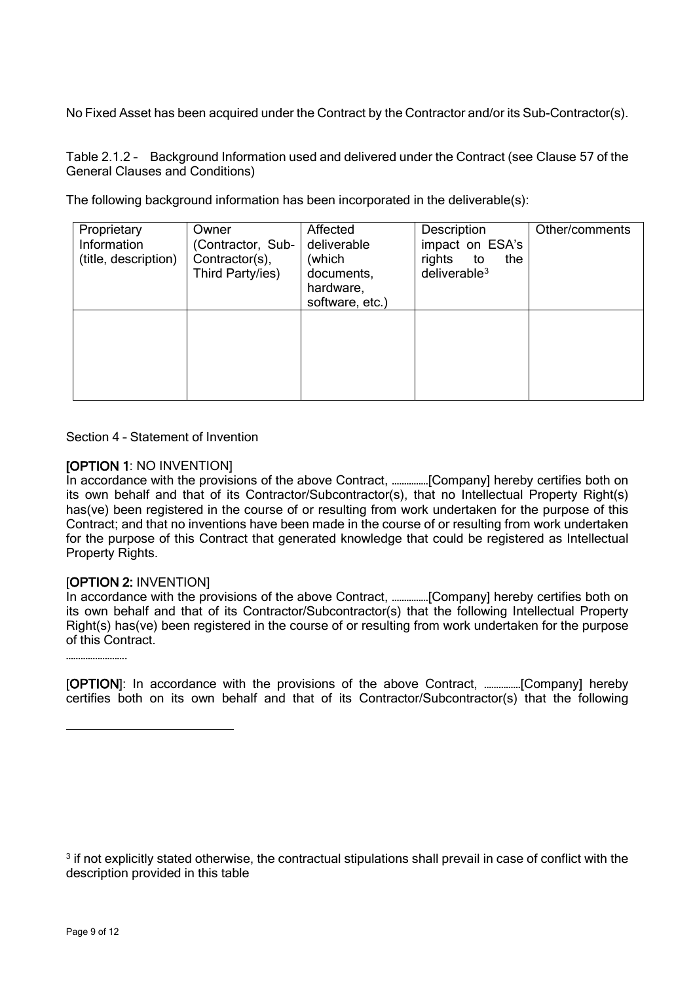No Fixed Asset has been acquired under the Contract by the Contractor and/or its Sub-Contractor(s).

Table 2.1.2 – Background Information used and delivered under the Contract (see Clause 57 of the General Clauses and Conditions)

The following background information has been incorporated in the deliverable(s):

| Proprietary<br>Information<br>(title, description) | Owner<br>(Contractor, Sub-<br>Contractor(s),<br>Third Party/ies) | Affected<br>deliverable<br>(which<br>documents,<br>hardware,<br>software, etc.) | Description<br>impact on ESA's<br>rights<br>the<br>to<br>deliverable $3$ | Other/comments |
|----------------------------------------------------|------------------------------------------------------------------|---------------------------------------------------------------------------------|--------------------------------------------------------------------------|----------------|
|                                                    |                                                                  |                                                                                 |                                                                          |                |

Section 4 – Statement of Invention

### [OPTION 1: NO INVENTION]

In accordance with the provisions of the above Contract, ……………[Company] hereby certifies both on its own behalf and that of its Contractor/Subcontractor(s), that no Intellectual Property Right(s) has(ve) been registered in the course of or resulting from work undertaken for the purpose of this Contract; and that no inventions have been made in the course of or resulting from work undertaken for the purpose of this Contract that generated knowledge that could be registered as Intellectual Property Rights.

#### [OPTION 2: INVENTION]

In accordance with the provisions of the above Contract, ................[Company] hereby certifies both on its own behalf and that of its Contractor/Subcontractor(s) that the following Intellectual Property Right(s) has(ve) been registered in the course of or resulting from work undertaken for the purpose of this Contract.

…………………….

[OPTION]: In accordance with the provisions of the above Contract, ……………[Company] hereby certifies both on its own behalf and that of its Contractor/Subcontractor(s) that the following

<span id="page-9-0"></span><sup>&</sup>lt;sup>3</sup> if not explicitly stated otherwise, the contractual stipulations shall prevail in case of conflict with the description provided in this table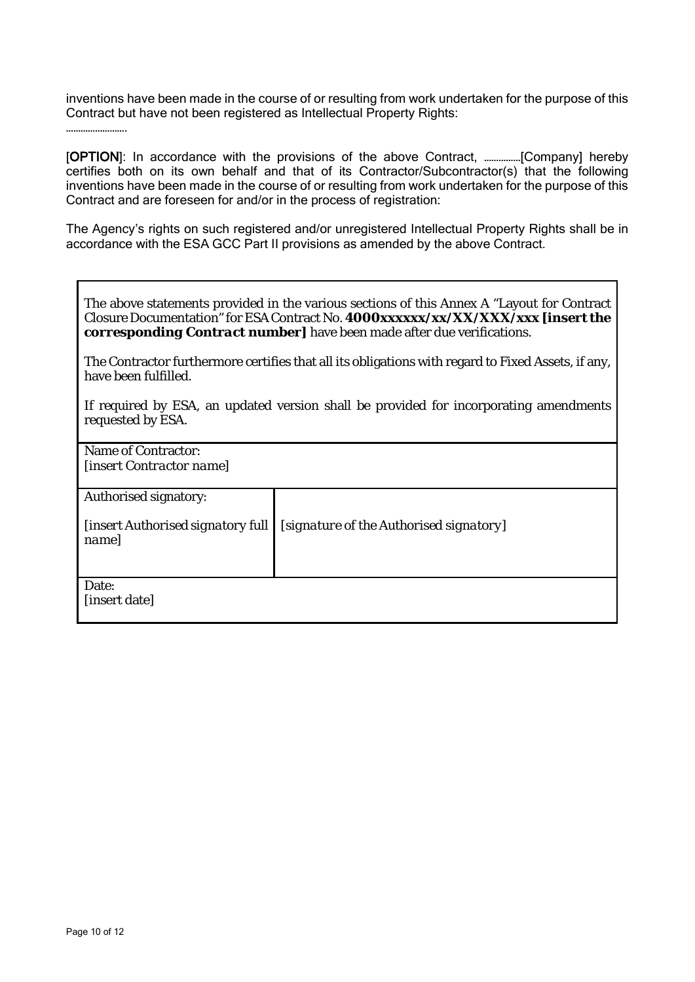inventions have been made in the course of or resulting from work undertaken for the purpose of this Contract but have not been registered as Intellectual Property Rights:

…………………….

[OPTION]: In accordance with the provisions of the above Contract, ……………[Company] hereby certifies both on its own behalf and that of its Contractor/Subcontractor(s) that the following inventions have been made in the course of or resulting from work undertaken for the purpose of this Contract and are foreseen for and/or in the process of registration:

The Agency's rights on such registered and/or unregistered Intellectual Property Rights shall be in accordance with the ESA GCC Part II provisions as amended by the above Contract.

| The above statements provided in the various sections of this Annex A "Layout for Contract"<br>Closure Documentation" for ESA Contract No. 4000xxxxxx/xx/XX/XXX/xxx [insert the<br><b>corresponding Contract number</b> have been made after due verifications. |
|-----------------------------------------------------------------------------------------------------------------------------------------------------------------------------------------------------------------------------------------------------------------|
| $\mathbf{T}^1$ , $\mathbf{C}$ , the character $\mathbf{C}$ , and $\mathbf{C}$ , and $\mathbf{C}$ , and the character of the contribution of $\mathbf{C}$ , and $\mathbf{C}$                                                                                     |

The Contractor furthermore certifies that all its obligations with regard to Fixed Assets, if any, have been fulfilled.

If required by ESA, an updated version shall be provided for incorporating amendments requested by ESA.

| Name of Contractor:<br><i>linsert Contractor namel</i> |                                         |  |
|--------------------------------------------------------|-----------------------------------------|--|
| Authorised signatory:                                  |                                         |  |
|                                                        |                                         |  |
| [insert Authorised signatory full                      | [signature of the Authorised signatory] |  |
| name]                                                  |                                         |  |
|                                                        |                                         |  |
|                                                        |                                         |  |
|                                                        |                                         |  |
| Date:                                                  |                                         |  |
| [insert date]                                          |                                         |  |
|                                                        |                                         |  |